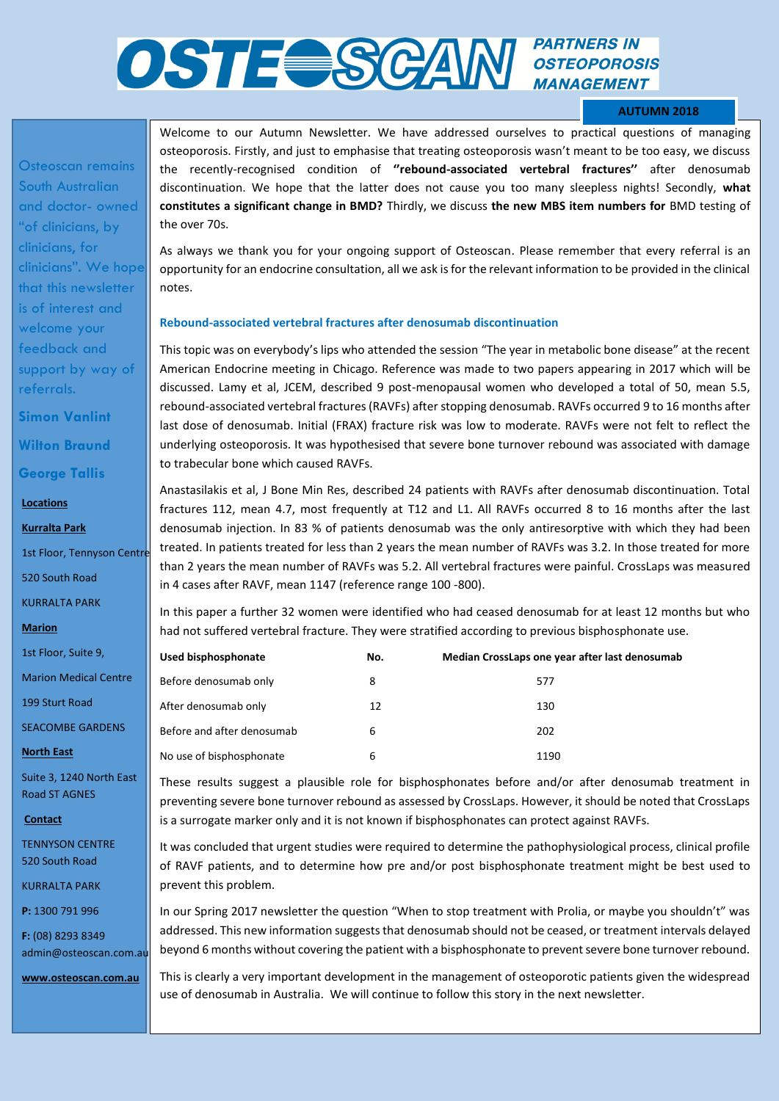# **PARTNERS IN OSTE SCAN** *PARTNERS IN* **MANAGEMENT**

### **AUTUMN 2018**

Osteoscan remains South Australian and doctor- owned "of clinicians, by clinicians, for clinicians". We hope that this newsletter is of interest and welcome your feedback and support by way of referrals.

**Simon Vanlint Wilton Braund** 

## **George Tallis**

**Locations** 

**Kurralta Park** 

1st Floor, Tennyson Centre

520 South Road

KURRALTA PARK

**Marion** 

1st Floor, Suite 9,

Marion Medical Centre

199 Sturt Road

SEACOMBE GARDENS

#### **North East**

Suite 3, 1240 North East Road ST AGNES

**Contact** 

TENNYSON CENTRE 520 South Road

KURRALTA PARK

**P:** 1300 791 996

**F:** (08) 8293 8349 admin@osteoscan.com.au

**www.osteoscan.com.au** 

Welcome to our Autumn Newsletter. We have addressed ourselves to practical questions of managing osteoporosis. Firstly, and just to emphasise that treating osteoporosis wasn't meant to be too easy, we discuss the recently-recognised condition of **''rebound-associated vertebral fractures''** after denosumab discontinuation. We hope that the latter does not cause you too many sleepless nights! Secondly, **what constitutes a significant change in BMD?** Thirdly, we discuss **the new MBS item numbers for** BMD testing of the over 70s.

As always we thank you for your ongoing support of Osteoscan. Please remember that every referral is an opportunity for an endocrine consultation, all we ask is for the relevant information to be provided in the clinical notes.

#### **Rebound-associated vertebral fractures after denosumab discontinuation**

This topic was on everybody's lips who attended the session "The year in metabolic bone disease" at the recent American Endocrine meeting in Chicago. Reference was made to two papers appearing in 2017 which will be discussed. Lamy et al, JCEM, described 9 post-menopausal women who developed a total of 50, mean 5.5, rebound-associated vertebral fractures (RAVFs) after stopping denosumab. RAVFs occurred 9 to 16 months after last dose of denosumab. Initial (FRAX) fracture risk was low to moderate. RAVFs were not felt to reflect the underlying osteoporosis. It was hypothesised that severe bone turnover rebound was associated with damage to trabecular bone which caused RAVFs.

Anastasilakis et al, J Bone Min Res, described 24 patients with RAVFs after denosumab discontinuation. Total fractures 112, mean 4.7, most frequently at T12 and L1. All RAVFs occurred 8 to 16 months after the last denosumab injection. In 83 % of patients denosumab was the only antiresorptive with which they had been treated. In patients treated for less than 2 years the mean number of RAVFs was 3.2. In those treated for more than 2 years the mean number of RAVFs was 5.2. All vertebral fractures were painful. CrossLaps was measured in 4 cases after RAVF, mean 1147 (reference range 100 -800).

In this paper a further 32 women were identified who had ceased denosumab for at least 12 months but who had not suffered vertebral fracture. They were stratified according to previous bisphosphonate use.

| Used bisphosphonate        | No. | Median CrossLaps one year after last denosumab |
|----------------------------|-----|------------------------------------------------|
| Before denosumab only      | 8   | 577                                            |
| After denosumab only       | 12  | 130                                            |
| Before and after denosumab | 6   | 202                                            |
| No use of bisphosphonate   | 6   | 1190                                           |

These results suggest a plausible role for bisphosphonates before and/or after denosumab treatment in preventing severe bone turnover rebound as assessed by CrossLaps. However, it should be noted that CrossLaps is a surrogate marker only and it is not known if bisphosphonates can protect against RAVFs.

It was concluded that urgent studies were required to determine the pathophysiological process, clinical profile of RAVF patients, and to determine how pre and/or post bisphosphonate treatment might be best used to prevent this problem.

In our Spring 2017 newsletter the question "When to stop treatment with Prolia, or maybe you shouldn't" was addressed. This new information suggests that denosumab should not be ceased, or treatment intervals delayed beyond 6 months without covering the patient with a bisphosphonate to prevent severe bone turnover rebound.

use of denosumab in Australia. We will continue to follow this story in the next newsletter. This is clearly a very important development in the management of osteoporotic patients given the widespread